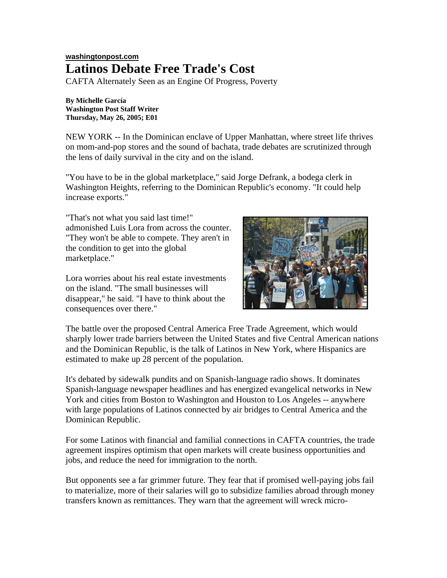## **washingtonpost.com Latinos Debate Free Trade's Cost**

CAFTA Alternately Seen as an Engine Of Progress, Poverty

**By Michelle García Washington Post Staff Writer Thursday, May 26, 2005; E01**

NEW YORK -- In the Dominican enclave of Upper Manhattan, where street life thrives on mom-and-pop stores and the sound of bachata, trade debates are scrutinized through the lens of daily survival in the city and on the island.

"You have to be in the global marketplace," said Jorge Defrank, a bodega clerk in Washington Heights, referring to the Dominican Republic's economy. "It could help increase exports."

"That's not what you said last time!" admonished Luis Lora from across the counter. "They won't be able to compete. They aren't in the condition to get into the global marketplace."

Lora worries about his real estate investments on the island. "The small businesses will disappear," he said. "I have to think about the consequences over there."



The battle over the proposed Central America Free Trade Agreement, which would sharply lower trade barriers between the United States and five Central American nations and the Dominican Republic, is the talk of Latinos in New York, where Hispanics are estimated to make up 28 percent of the population.

It's debated by sidewalk pundits and on Spanish-language radio shows. It dominates Spanish-language newspaper headlines and has energized evangelical networks in New York and cities from Boston to Washington and Houston to Los Angeles -- anywhere with large populations of Latinos connected by air bridges to Central America and the Dominican Republic.

For some Latinos with financial and familial connections in CAFTA countries, the trade agreement inspires optimism that open markets will create business opportunities and jobs, and reduce the need for immigration to the north.

But opponents see a far grimmer future. They fear that if promised well-paying jobs fail to materialize, more of their salaries will go to subsidize families abroad through money transfers known as remittances. They warn that the agreement will wreck micro-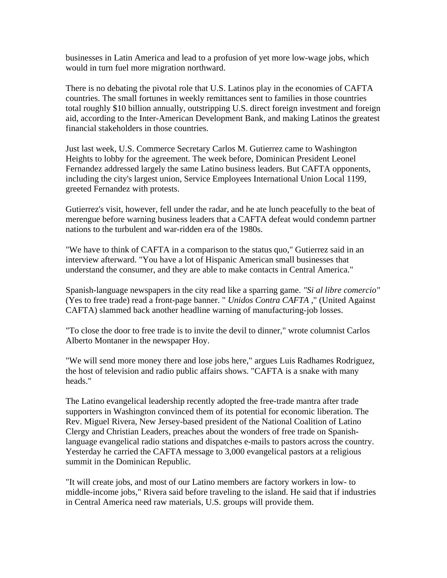businesses in Latin America and lead to a profusion of yet more low-wage jobs, which would in turn fuel more migration northward.

There is no debating the pivotal role that U.S. Latinos play in the economies of CAFTA countries. The small fortunes in weekly remittances sent to families in those countries total roughly \$10 billion annually, outstripping U.S. direct foreign investment and foreign aid, according to the Inter-American Development Bank, and making Latinos the greatest financial stakeholders in those countries.

Just last week, U.S. Commerce Secretary Carlos M. Gutierrez came to Washington Heights to lobby for the agreement. The week before, Dominican President Leonel Fernandez addressed largely the same Latino business leaders. But CAFTA opponents, including the city's largest union, Service Employees International Union Local 1199, greeted Fernandez with protests.

Gutierrez's visit, however, fell under the radar, and he ate lunch peacefully to the beat of merengue before warning business leaders that a CAFTA defeat would condemn partner nations to the turbulent and war-ridden era of the 1980s.

"We have to think of CAFTA in a comparison to the status quo," Gutierrez said in an interview afterward. "You have a lot of Hispanic American small businesses that understand the consumer, and they are able to make contacts in Central America."

Spanish-language newspapers in the city read like a sparring game. *"Si al libre comercio"* (Yes to free trade) read a front-page banner. " *Unidos Contra CAFTA* ," (United Against CAFTA) slammed back another headline warning of manufacturing-job losses.

"To close the door to free trade is to invite the devil to dinner," wrote columnist Carlos Alberto Montaner in the newspaper Hoy.

"We will send more money there and lose jobs here," argues Luis Radhames Rodriguez, the host of television and radio public affairs shows. "CAFTA is a snake with many heads."

The Latino evangelical leadership recently adopted the free-trade mantra after trade supporters in Washington convinced them of its potential for economic liberation. The Rev. Miguel Rivera, New Jersey-based president of the National Coalition of Latino Clergy and Christian Leaders, preaches about the wonders of free trade on Spanishlanguage evangelical radio stations and dispatches e-mails to pastors across the country. Yesterday he carried the CAFTA message to 3,000 evangelical pastors at a religious summit in the Dominican Republic.

"It will create jobs, and most of our Latino members are factory workers in low- to middle-income jobs," Rivera said before traveling to the island. He said that if industries in Central America need raw materials, U.S. groups will provide them.